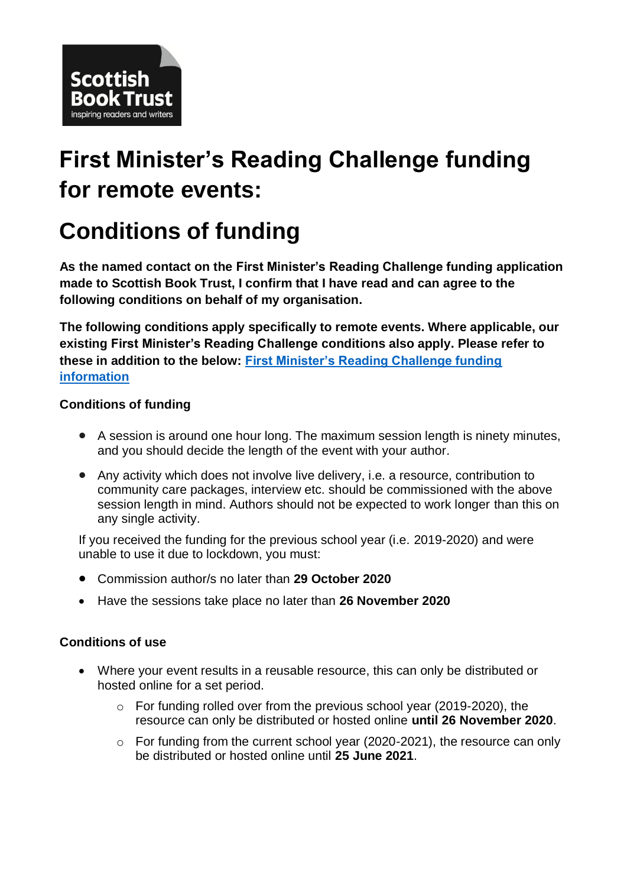

# **First Minister's Reading Challenge funding for remote events:**

# **Conditions of funding**

**As the named contact on the First Minister's Reading Challenge funding application made to Scottish Book Trust, I confirm that I have read and can agree to the following conditions on behalf of my organisation.**

**The following conditions apply specifically to remote events. Where applicable, our existing First Minister's Reading Challenge conditions also apply. Please refer to these in addition to the below: [First Minister's Reading Challenge funding](https://www.readingchallenge.scot/funding)  [information](https://www.readingchallenge.scot/funding)**

### **Conditions of funding**

- A session is around one hour long. The maximum session length is ninety minutes, and you should decide the length of the event with your author.
- Any activity which does not involve live delivery, i.e. a resource, contribution to community care packages, interview etc. should be commissioned with the above session length in mind. Authors should not be expected to work longer than this on any single activity.

If you received the funding for the previous school year (i.e. 2019-2020) and were unable to use it due to lockdown, you must:

- Commission author/s no later than **29 October 2020**
- Have the sessions take place no later than **26 November 2020**

#### **Conditions of use**

- Where your event results in a reusable resource, this can only be distributed or hosted online for a set period.
	- o For funding rolled over from the previous school year (2019-2020), the resource can only be distributed or hosted online **until 26 November 2020**.
	- $\circ$  For funding from the current school year (2020-2021), the resource can only be distributed or hosted online until **25 June 2021**.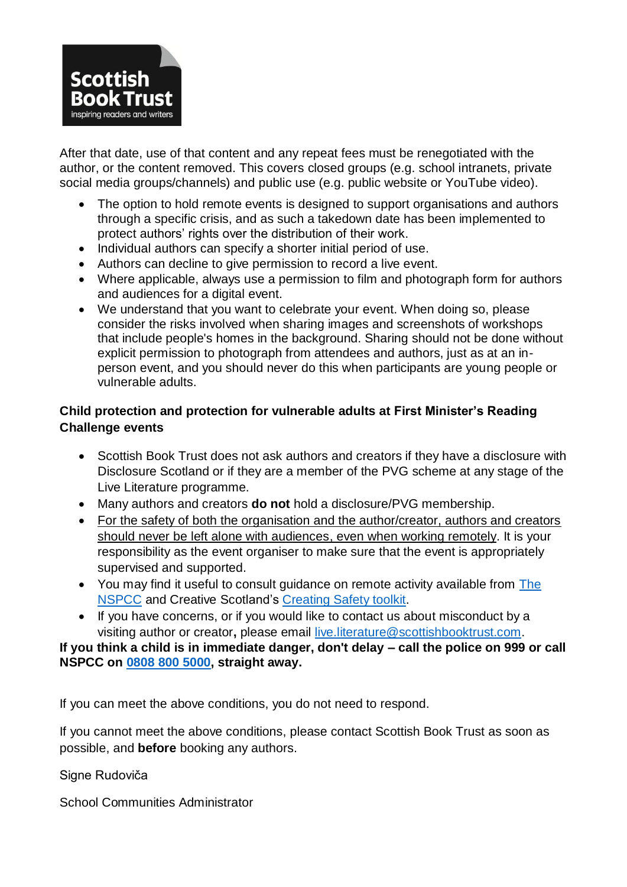

After that date, use of that content and any repeat fees must be renegotiated with the author, or the content removed. This covers closed groups (e.g. school intranets, private social media groups/channels) and public use (e.g. public website or YouTube video).

- The option to hold remote events is designed to support organisations and authors through a specific crisis, and as such a takedown date has been implemented to protect authors' rights over the distribution of their work.
- Individual authors can specify a shorter initial period of use.
- Authors can decline to give permission to record a live event.
- Where applicable, always use a permission to film and photograph form for authors and audiences for a digital event.
- We understand that you want to celebrate your event. When doing so, please consider the risks involved when sharing images and screenshots of workshops that include people's homes in the background. Sharing should not be done without explicit permission to photograph from attendees and authors, just as at an inperson event, and you should never do this when participants are young people or vulnerable adults.

## **Child protection and protection for vulnerable adults at First Minister's Reading Challenge events**

- Scottish Book Trust does not ask authors and creators if they have a disclosure with Disclosure Scotland or if they are a member of the PVG scheme at any stage of the Live Literature programme.
- Many authors and creators **do not** hold a disclosure/PVG membership.
- For the safety of both the organisation and the author/creator, authors and creators should never be left alone with audiences, even when working remotely. It is your responsibility as the event organiser to make sure that the event is appropriately supervised and supported.
- You may find it useful to consult guidance on remote activity available from [The](https://learning.nspcc.org.uk/safeguarding-child-protection/coronavirus)  [NSPCC](https://learning.nspcc.org.uk/safeguarding-child-protection/coronavirus) and Creative Scotland's [Creating Safety toolkit.](https://www.creativescotland.com/resources/professional-resources/guidance-and-toolkits/creating-safety)
- If you have concerns, or if you would like to contact us about misconduct by a visiting author or creator**,** please email [live.literature@scottishbooktrust.com.](mailto:kay.bohan@scottishbooktrust.com)

#### **If you think a child is in immediate danger, don't delay – call the police on 999 or call NSPCC on 0808 800 [5000,](tel:0808%20800%205000) straight away.**

If you can meet the above conditions, you do not need to respond.

If you cannot meet the above conditions, please contact Scottish Book Trust as soon as possible, and **before** booking any authors.

Signe Rudoviča

School Communities Administrator